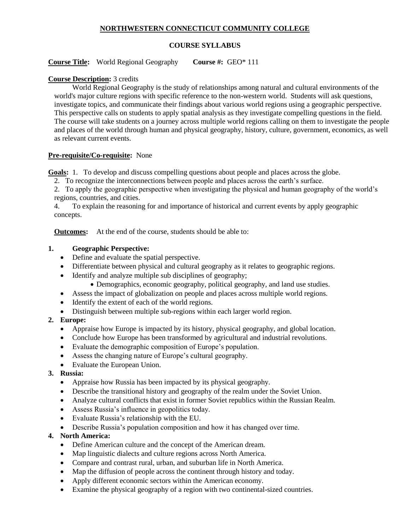### **NORTHWESTERN CONNECTICUT COMMUNITY COLLEGE**

#### **COURSE SYLLABUS**

**Course Title:** World Regional Geography **Course #:** GEO\* 111

### **Course Description:** 3 credits

World Regional Geography is the study of relationships among natural and cultural environments of the world's major culture regions with specific reference to the non-western world. Students will ask questions, investigate topics, and communicate their findings about various world regions using a geographic perspective. This perspective calls on students to apply spatial analysis as they investigate compelling questions in the field. The course will take students on a journey across multiple world regions calling on them to investigate the people and places of the world through human and physical geography, history, culture, government, economics, as well as relevant current events.

### **Pre-requisite/Co-requisite:** None

**Goals:** 1. To develop and discuss compelling questions about people and places across the globe.

2. To recognize the interconnections between people and places across the earth's surface.

2. To apply the geographic perspective when investigating the physical and human geography of the world's regions, countries, and cities.

4. To explain the reasoning for and importance of historical and current events by apply geographic concepts.

**Outcomes:** At the end of the course, students should be able to:

### **1. Geographic Perspective:**

- Define and evaluate the spatial perspective.
- Differentiate between physical and cultural geography as it relates to geographic regions.
- Identify and analyze multiple sub disciplines of geography;
	- Demographics, economic geography, political geography, and land use studies.
- Assess the impact of globalization on people and places across multiple world regions.
- Identify the extent of each of the world regions.
- Distinguish between multiple sub-regions within each larger world region.

## **2. Europe:**

- Appraise how Europe is impacted by its history, physical geography, and global location.
- Conclude how Europe has been transformed by agricultural and industrial revolutions.
- Evaluate the demographic composition of Europe's population.
- Assess the changing nature of Europe's cultural geography.
- Evaluate the European Union.

## **3. Russia:**

- Appraise how Russia has been impacted by its physical geography.
- Describe the transitional history and geography of the realm under the Soviet Union.
- Analyze cultural conflicts that exist in former Soviet republics within the Russian Realm.
- Assess Russia's influence in geopolitics today.
- Evaluate Russia's relationship with the EU.
- Describe Russia's population composition and how it has changed over time.

## **4. North America:**

- Define American culture and the concept of the American dream.
- Map linguistic dialects and culture regions across North America.
- Compare and contrast rural, urban, and suburban life in North America.
- Map the diffusion of people across the continent through history and today.
- Apply different economic sectors within the American economy.
- Examine the physical geography of a region with two continental-sized countries.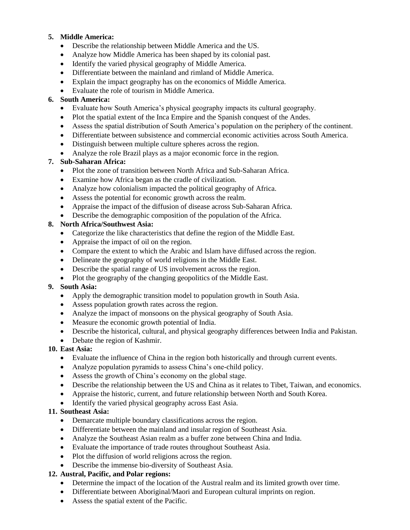## **5. Middle America:**

- Describe the relationship between Middle America and the US.
- Analyze how Middle America has been shaped by its colonial past.
- Identify the varied physical geography of Middle America.
- Differentiate between the mainland and rimland of Middle America.
- Explain the impact geography has on the economics of Middle America.
- Evaluate the role of tourism in Middle America.

## **6. South America:**

- Evaluate how South America's physical geography impacts its cultural geography.
- Plot the spatial extent of the Inca Empire and the Spanish conquest of the Andes.
- Assess the spatial distribution of South America's population on the periphery of the continent.
- Differentiate between subsistence and commercial economic activities across South America.
- Distinguish between multiple culture spheres across the region.
- Analyze the role Brazil plays as a major economic force in the region.

# **7. Sub-Saharan Africa:**

- Plot the zone of transition between North Africa and Sub-Saharan Africa.
- Examine how Africa began as the cradle of civilization.
- Analyze how colonialism impacted the political geography of Africa.
- Assess the potential for economic growth across the realm.
- Appraise the impact of the diffusion of disease across Sub-Saharan Africa.
- Describe the demographic composition of the population of the Africa.

# **8. North Africa/Southwest Asia:**

- Categorize the like characteristics that define the region of the Middle East.
- Appraise the impact of oil on the region.
- Compare the extent to which the Arabic and Islam have diffused across the region.
- Delineate the geography of world religions in the Middle East.
- Describe the spatial range of US involvement across the region.
- Plot the geography of the changing geopolitics of the Middle East.

# **9. South Asia:**

- Apply the demographic transition model to population growth in South Asia.
- Assess population growth rates across the region.
- Analyze the impact of monsoons on the physical geography of South Asia.
- Measure the economic growth potential of India.
- Describe the historical, cultural, and physical geography differences between India and Pakistan.
- Debate the region of Kashmir.

# **10. East Asia:**

- Evaluate the influence of China in the region both historically and through current events.
- Analyze population pyramids to assess China's one-child policy.
- Assess the growth of China's economy on the global stage.
- Describe the relationship between the US and China as it relates to Tibet, Taiwan, and economics.
- Appraise the historic, current, and future relationship between North and South Korea.
- Identify the varied physical geography across East Asia.

# **11. Southeast Asia:**

- Demarcate multiple boundary classifications across the region.
- Differentiate between the mainland and insular region of Southeast Asia.
- Analyze the Southeast Asian realm as a buffer zone between China and India.
- Evaluate the importance of trade routes throughout Southeast Asia.
- Plot the diffusion of world religions across the region.
- Describe the immense bio-diversity of Southeast Asia.

## **12. Austral, Pacific, and Polar regions:**

- Determine the impact of the location of the Austral realm and its limited growth over time.
- Differentiate between Aboriginal/Maori and European cultural imprints on region.
- Assess the spatial extent of the Pacific.